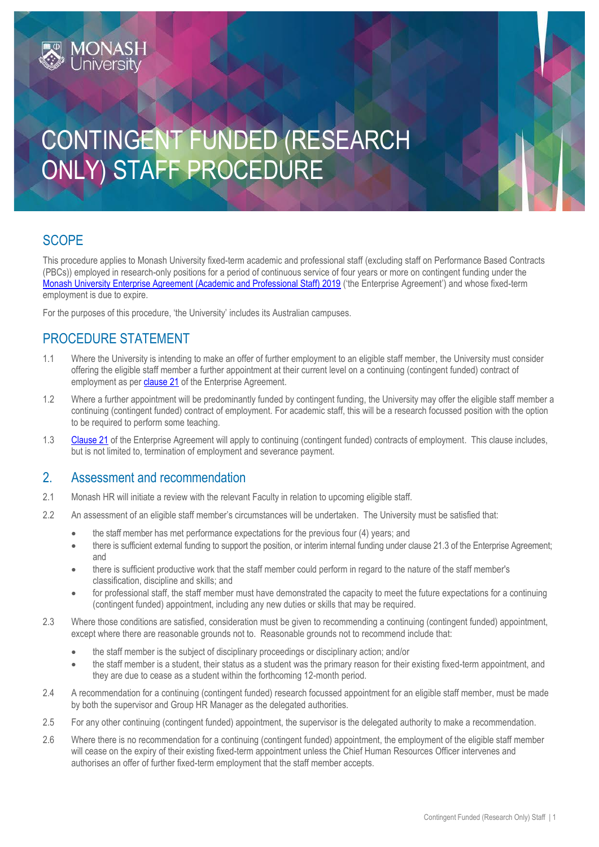# CONTINGENT FUNDED (RESEARCH ONLY) STAFF PROCEDURE

## **SCOPE**

This procedure applies to Monash University fixed-term academic and professional staff (excluding staff on Performance Based Contracts (PBCs)) employed in research-only positions for a period of continuous service of four years or more on contingent funding under the [Monash University Enterprise Agreement \(Academic and Professional Staff\) 2019](https://www.monash.edu/current-enterprise-agreements/academic-professional-2019) ('the Enterprise Agreement') and whose fixed-term employment is due to expire.

For the purposes of this procedure, 'the University' includes its Australian campuses.

## PROCEDURE STATEMENT

MONASH

- 1.1 Where the University is intending to make an offer of further employment to an eligible staff member, the University must consider offering the eligible staff member a further appointment at their current level on a continuing (contingent funded) contract of employment as per [clause 21](https://www.monash.edu/current-enterprise-agreements/academic-professional-2019#21) of the Enterprise Agreement.
- 1.2 Where a further appointment will be predominantly funded by contingent funding, the University may offer the eligible staff member a continuing (contingent funded) contract of employment. For academic staff, this will be a research focussed position with the option to be required to perform some teaching.
- 1.3 [Clause 21](https://www.monash.edu/current-enterprise-agreements/academic-professional-2019#21) of the Enterprise Agreement will apply to continuing (contingent funded) contracts of employment. This clause includes, but is not limited to, termination of employment and severance payment.

#### 2. Assessment and recommendation

- 2.1 Monash HR will initiate a review with the relevant Faculty in relation to upcoming eligible staff.
- 2.2 An assessment of an eligible staff member's circumstances will be undertaken. The University must be satisfied that:
	- the staff member has met performance expectations for the previous four (4) years; and
	- there is sufficient external funding to support the position, or interim internal funding under clause 21.3 of the Enterprise Agreement; and
	- there is sufficient productive work that the staff member could perform in regard to the nature of the staff member's classification, discipline and skills; and
	- for professional staff, the staff member must have demonstrated the capacity to meet the future expectations for a continuing (contingent funded) appointment, including any new duties or skills that may be required.
- 2.3 Where those conditions are satisfied, consideration must be given to recommending a continuing (contingent funded) appointment, except where there are reasonable grounds not to. Reasonable grounds not to recommend include that:
	- the staff member is the subject of disciplinary proceedings or disciplinary action; and/or
	- the staff member is a student, their status as a student was the primary reason for their existing fixed-term appointment, and they are due to cease as a student within the forthcoming 12-month period.
- 2.4 A recommendation for a continuing (contingent funded) research focussed appointment for an eligible staff member, must be made by both the supervisor and Group HR Manager as the delegated authorities.
- 2.5 For any other continuing (contingent funded) appointment, the supervisor is the delegated authority to make a recommendation.
- 2.6 Where there is no recommendation for a continuing (contingent funded) appointment, the employment of the eligible staff member will cease on the expiry of their existing fixed-term appointment unless the Chief Human Resources Officer intervenes and authorises an offer of further fixed-term employment that the staff member accepts.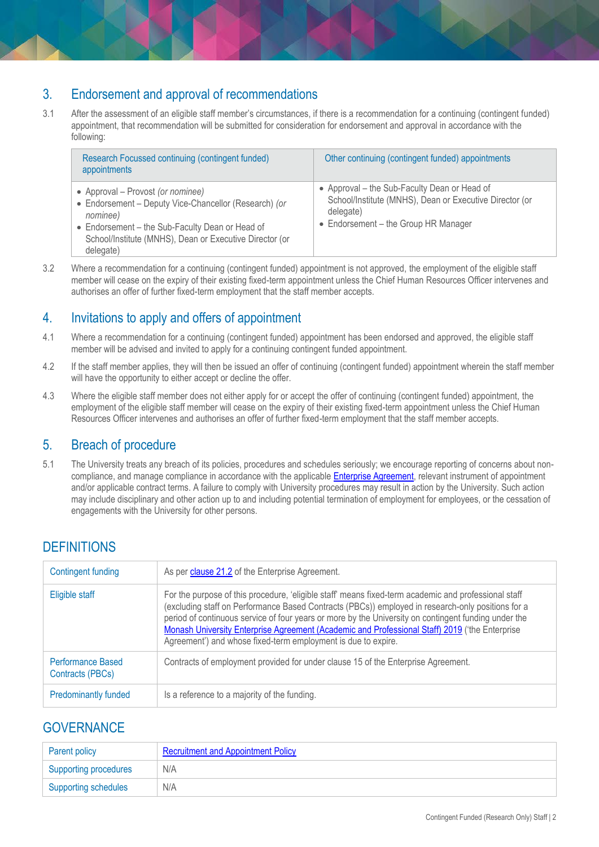### 3. Endorsement and approval of recommendations

3.1 After the assessment of an eligible staff member's circumstances, if there is a recommendation for a continuing (contingent funded) appointment, that recommendation will be submitted for consideration for endorsement and approval in accordance with the following:

| Research Focussed continuing (contingent funded)<br>appointments                                                                                                                                                                  | Other continuing (contingent funded) appointments                                                                                                            |
|-----------------------------------------------------------------------------------------------------------------------------------------------------------------------------------------------------------------------------------|--------------------------------------------------------------------------------------------------------------------------------------------------------------|
| • Approval – Provost (or nominee)<br>• Endorsement - Deputy Vice-Chancellor (Research) (or<br>nominee)<br>• Endorsement - the Sub-Faculty Dean or Head of<br>School/Institute (MNHS), Dean or Executive Director (or<br>delegate) | • Approval – the Sub-Faculty Dean or Head of<br>School/Institute (MNHS), Dean or Executive Director (or<br>delegate)<br>• Endorsement - the Group HR Manager |

3.2 Where a recommendation for a continuing (contingent funded) appointment is not approved, the employment of the eligible staff member will cease on the expiry of their existing fixed-term appointment unless the Chief Human Resources Officer intervenes and authorises an offer of further fixed-term employment that the staff member accepts.

#### 4. Invitations to apply and offers of appointment

- 4.1 Where a recommendation for a continuing (contingent funded) appointment has been endorsed and approved, the eligible staff member will be advised and invited to apply for a continuing contingent funded appointment.
- 4.2 If the staff member applies, they will then be issued an offer of continuing (contingent funded) appointment wherein the staff member will have the opportunity to either accept or decline the offer.
- 4.3 Where the eligible staff member does not either apply for or accept the offer of continuing (contingent funded) appointment, the employment of the eligible staff member will cease on the expiry of their existing fixed-term appointment unless the Chief Human Resources Officer intervenes and authorises an offer of further fixed-term employment that the staff member accepts.

#### 5. Breach of procedure

5.1 The University treats any breach of its policies, procedures and schedules seriously; we encourage reporting of concerns about noncompliance, and manage compliance in accordance with the applicable **Enterprise Agreement**, relevant instrument of appointment and/or applicable contract terms. A failure to comply with University procedures may result in action by the University. Such action may include disciplinary and other action up to and including potential termination of employment for employees, or the cessation of engagements with the University for other persons.

# **DEFINITIONS**

| Contingent funding                           | As per clause 21.2 of the Enterprise Agreement.                                                                                                                                                                                                                                                                                                                                                                                                                                      |
|----------------------------------------------|--------------------------------------------------------------------------------------------------------------------------------------------------------------------------------------------------------------------------------------------------------------------------------------------------------------------------------------------------------------------------------------------------------------------------------------------------------------------------------------|
| Eligible staff                               | For the purpose of this procedure, 'eligible staff' means fixed-term academic and professional staff<br>(excluding staff on Performance Based Contracts (PBCs)) employed in research-only positions for a<br>period of continuous service of four years or more by the University on contingent funding under the<br>Monash University Enterprise Agreement (Academic and Professional Staff) 2019 ('the Enterprise<br>Agreement') and whose fixed-term employment is due to expire. |
| <b>Performance Based</b><br>Contracts (PBCs) | Contracts of employment provided for under clause 15 of the Enterprise Agreement.                                                                                                                                                                                                                                                                                                                                                                                                    |
| <b>Predominantly funded</b>                  | Is a reference to a majority of the funding.                                                                                                                                                                                                                                                                                                                                                                                                                                         |

### **GOVERNANCE**

| <b>Parent policy</b>        | <b>Recruitment and Appointment Policy</b> |
|-----------------------------|-------------------------------------------|
| Supporting procedures       | N/A                                       |
| <b>Supporting schedules</b> | N/A                                       |